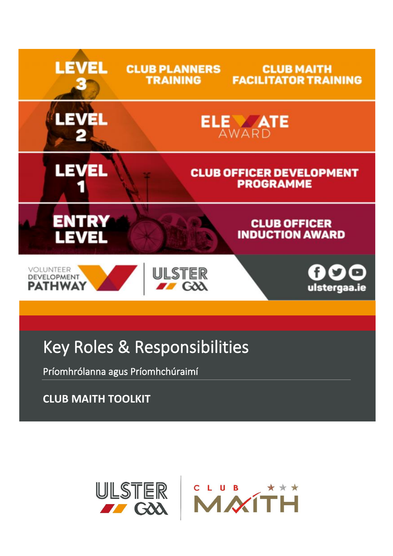

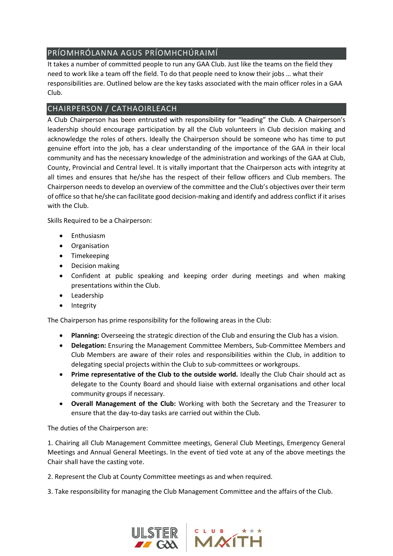# PRÍOMHRÓLANNA AGUS PRÍOMHCHÚRAIMÍ

It takes a number of committed people to run any GAA Club. Just like the teams on the field they need to work like a team off the field. To do that people need to know their jobs … what their responsibilities are. Outlined below are the key tasks associated with the main officer roles in a GAA Club.

# CHAIRPERSON / CATHAOIRLEACH

A Club Chairperson has been entrusted with responsibility for "leading" the Club. A Chairperson's leadership should encourage participation by all the Club volunteers in Club decision making and acknowledge the roles of others. Ideally the Chairperson should be someone who has time to put genuine effort into the job, has a clear understanding of the importance of the GAA in their local community and has the necessary knowledge of the administration and workings of the GAA at Club, County, Provincial and Central level. It is vitally important that the Chairperson acts with integrity at all times and ensures that he/she has the respect of their fellow officers and Club members. The Chairperson needs to develop an overview of the committee and the Club's objectives over their term of office so that he/she can facilitate good decision-making and identify and address conflict if it arises with the Club.

Skills Required to be a Chairperson:

- Enthusiasm
- Organisation
- Timekeeping
- Decision making
- Confident at public speaking and keeping order during meetings and when making presentations within the Club.
- Leadership
- Integrity

The Chairperson has prime responsibility for the following areas in the Club:

- **Planning:** Overseeing the strategic direction of the Club and ensuring the Club has a vision.
- **Delegation:** Ensuring the Management Committee Members, Sub-Committee Members and Club Members are aware of their roles and responsibilities within the Club, in addition to delegating special projects within the Club to sub-committees or workgroups.
- **Prime representative of the Club to the outside world.** Ideally the Club Chair should act as delegate to the County Board and should liaise with external organisations and other local community groups if necessary.
- **Overall Management of the Club:** Working with both the Secretary and the Treasurer to ensure that the day-to-day tasks are carried out within the Club.

The duties of the Chairperson are:

1. Chairing all Club Management Committee meetings, General Club Meetings, Emergency General Meetings and Annual General Meetings. In the event of tied vote at any of the above meetings the Chair shall have the casting vote.

2. Represent the Club at County Committee meetings as and when required.

3. Take responsibility for managing the Club Management Committee and the affairs of the Club.

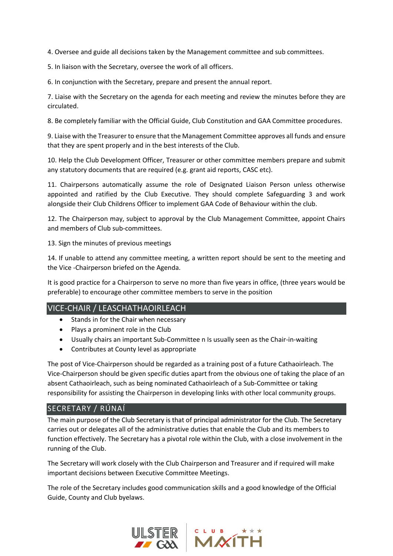4. Oversee and guide all decisions taken by the Management committee and sub committees.

5. In liaison with the Secretary, oversee the work of all officers.

6. In conjunction with the Secretary, prepare and present the annual report.

7. Liaise with the Secretary on the agenda for each meeting and review the minutes before they are circulated.

8. Be completely familiar with the Official Guide, Club Constitution and GAA Committee procedures.

9. Liaise with the Treasurer to ensure that the Management Committee approves all funds and ensure that they are spent properly and in the best interests of the Club.

10. Help the Club Development Officer, Treasurer or other committee members prepare and submit any statutory documents that are required (e.g. grant aid reports, CASC etc).

11. Chairpersons automatically assume the role of Designated Liaison Person unless otherwise appointed and ratified by the Club Executive. They should complete Safeguarding 3 and work alongside their Club Childrens Officer to implement GAA Code of Behaviour within the club.

12. The Chairperson may, subject to approval by the Club Management Committee, appoint Chairs and members of Club sub-committees.

13. Sign the minutes of previous meetings

14. If unable to attend any committee meeting, a written report should be sent to the meeting and the Vice -Chairperson briefed on the Agenda.

It is good practice for a Chairperson to serve no more than five years in office, (three years would be preferable) to encourage other committee members to serve in the position

# VICE-CHAIR / LEASCHATHAOIRLEACH

- Stands in for the Chair when necessary
- Plays a prominent role in the Club
- Usually chairs an important Sub-Committee n Is usually seen as the Chair-in-waiting
- Contributes at County level as appropriate

The post of Vice-Chairperson should be regarded as a training post of a future Cathaoirleach. The Vice-Chairperson should be given specific duties apart from the obvious one of taking the place of an absent Cathaoirleach, such as being nominated Cathaoirleach of a Sub-Committee or taking responsibility for assisting the Chairperson in developing links with other local community groups.

# SECRETARY / RÚNAÍ

The main purpose of the Club Secretary is that of principal administrator for the Club. The Secretary carries out or delegates all of the administrative duties that enable the Club and its members to function effectively. The Secretary has a pivotal role within the Club, with a close involvement in the running of the Club.

The Secretary will work closely with the Club Chairperson and Treasurer and if required will make important decisions between Executive Committee Meetings.

The role of the Secretary includes good communication skills and a good knowledge of the Official Guide, County and Club byelaws.

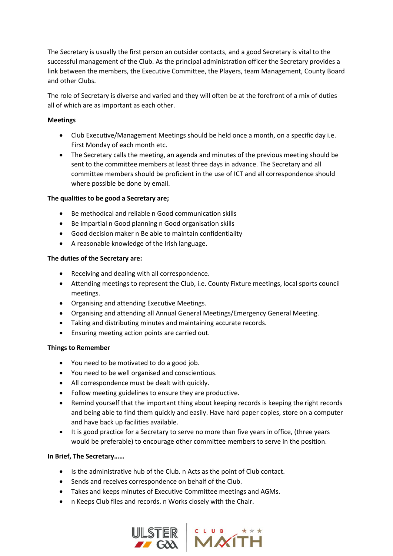The Secretary is usually the first person an outsider contacts, and a good Secretary is vital to the successful management of the Club. As the principal administration officer the Secretary provides a link between the members, the Executive Committee, the Players, team Management, County Board and other Clubs.

The role of Secretary is diverse and varied and they will often be at the forefront of a mix of duties all of which are as important as each other.

#### **Meetings**

- Club Executive/Management Meetings should be held once a month, on a specific day i.e. First Monday of each month etc.
- The Secretary calls the meeting, an agenda and minutes of the previous meeting should be sent to the committee members at least three days in advance. The Secretary and all committee members should be proficient in the use of ICT and all correspondence should where possible be done by email.

#### **The qualities to be good a Secretary are;**

- Be methodical and reliable n Good communication skills
- Be impartial n Good planning n Good organisation skills
- Good decision maker n Be able to maintain confidentiality
- A reasonable knowledge of the Irish language.

#### **The duties of the Secretary are:**

- Receiving and dealing with all correspondence.
- Attending meetings to represent the Club, i.e. County Fixture meetings, local sports council meetings.
- Organising and attending Executive Meetings.
- Organising and attending all Annual General Meetings/Emergency General Meeting.
- Taking and distributing minutes and maintaining accurate records.
- Ensuring meeting action points are carried out.

# **Things to Remember**

- You need to be motivated to do a good job.
- You need to be well organised and conscientious.
- All correspondence must be dealt with quickly.
- Follow meeting guidelines to ensure they are productive.
- Remind yourself that the important thing about keeping records is keeping the right records and being able to find them quickly and easily. Have hard paper copies, store on a computer and have back up facilities available.
- It is good practice for a Secretary to serve no more than five years in office, (three years would be preferable) to encourage other committee members to serve in the position.

# **In Brief, The Secretary……**

- Is the administrative hub of the Club. n Acts as the point of Club contact.
- Sends and receives correspondence on behalf of the Club.
- Takes and keeps minutes of Executive Committee meetings and AGMs.
- n Keeps Club files and records. n Works closely with the Chair.



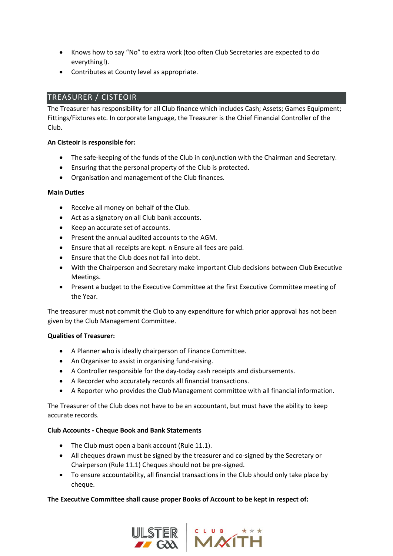- Knows how to say "No" to extra work (too often Club Secretaries are expected to do everything!).
- Contributes at County level as appropriate.

# TREASURER / CISTEOIR

The Treasurer has responsibility for all Club finance which includes Cash; Assets; Games Equipment; Fittings/Fixtures etc. In corporate language, the Treasurer is the Chief Financial Controller of the Club.

# **An Cisteoir is responsible for:**

- The safe-keeping of the funds of the Club in conjunction with the Chairman and Secretary.
- Ensuring that the personal property of the Club is protected.
- Organisation and management of the Club finances.

# **Main Duties**

- Receive all money on behalf of the Club.
- Act as a signatory on all Club bank accounts.
- Keep an accurate set of accounts.
- Present the annual audited accounts to the AGM.
- Ensure that all receipts are kept. n Ensure all fees are paid.
- Ensure that the Club does not fall into debt.
- With the Chairperson and Secretary make important Club decisions between Club Executive Meetings.
- Present a budget to the Executive Committee at the first Executive Committee meeting of the Year.

The treasurer must not commit the Club to any expenditure for which prior approval has not been given by the Club Management Committee.

# **Qualities of Treasurer:**

- A Planner who is ideally chairperson of Finance Committee.
- An Organiser to assist in organising fund-raising.
- A Controller responsible for the day-today cash receipts and disbursements.
- A Recorder who accurately records all financial transactions.
- A Reporter who provides the Club Management committee with all financial information.

The Treasurer of the Club does not have to be an accountant, but must have the ability to keep accurate records.

# **Club Accounts - Cheque Book and Bank Statements**

- The Club must open a bank account (Rule 11.1).
- All cheques drawn must be signed by the treasurer and co-signed by the Secretary or Chairperson (Rule 11.1) Cheques should not be pre-signed.
- To ensure accountability, all financial transactions in the Club should only take place by cheque.

# **The Executive Committee shall cause proper Books of Account to be kept in respect of:**



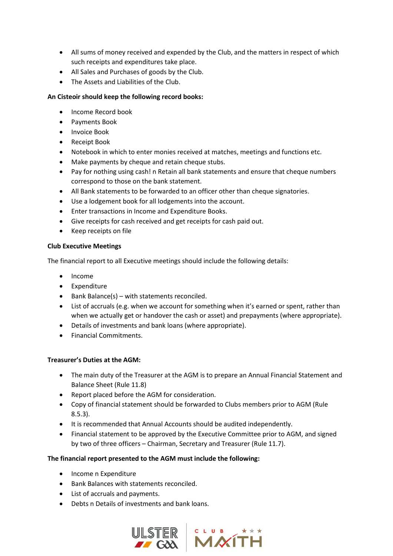- All sums of money received and expended by the Club, and the matters in respect of which such receipts and expenditures take place.
- All Sales and Purchases of goods by the Club.
- The Assets and Liabilities of the Club.

# **An Cisteoir should keep the following record books:**

- Income Record book
- Payments Book
- Invoice Book
- Receipt Book
- Notebook in which to enter monies received at matches, meetings and functions etc.
- Make payments by cheque and retain cheque stubs.
- Pay for nothing using cash! n Retain all bank statements and ensure that cheque numbers correspond to those on the bank statement.
- All Bank statements to be forwarded to an officer other than cheque signatories.
- Use a lodgement book for all lodgements into the account.
- Enter transactions in Income and Expenditure Books.
- Give receipts for cash received and get receipts for cash paid out.
- Keep receipts on file

#### **Club Executive Meetings**

The financial report to all Executive meetings should include the following details:

- Income
- Expenditure
- Bank Balance(s) with statements reconciled.
- List of accruals (e.g. when we account for something when it's earned or spent, rather than when we actually get or handover the cash or asset) and prepayments (where appropriate).
- Details of investments and bank loans (where appropriate).
- Financial Commitments.

# **Treasurer's Duties at the AGM:**

- The main duty of the Treasurer at the AGM is to prepare an Annual Financial Statement and Balance Sheet (Rule 11.8)
- Report placed before the AGM for consideration.
- Copy of financial statement should be forwarded to Clubs members prior to AGM (Rule 8.5.3).
- It is recommended that Annual Accounts should be audited independently.
- Financial statement to be approved by the Executive Committee prior to AGM, and signed by two of three officers – Chairman, Secretary and Treasurer (Rule 11.7).

# **The financial report presented to the AGM must include the following:**

- Income n Expenditure
- Bank Balances with statements reconciled.
- List of accruals and payments.
- Debts n Details of investments and bank loans.

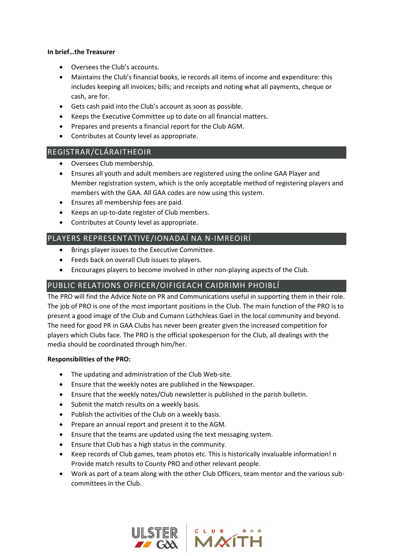#### **In brief…the Treasurer**

- Oversees the Club's accounts.
- Maintains the Club's financial books, ie records all items of income and expenditure: this includes keeping all invoices; bills; and receipts and noting what all payments, cheque or cash, are for.
- Gets cash paid into the Club's account as soon as possible.
- Keeps the Executive Committee up to date on all financial matters.
- Prepares and presents a financial report for the Club AGM.
- Contributes at County level as appropriate.

# REGISTRAR/CLÁRAITHEOIR

- Oversees Club membership.
- Ensures all youth and adult members are registered using the online GAA Player and Member registration system, which is the only acceptable method of registering players and members with the GAA. All GAA codes are now using this system.
- Ensures all membership fees are paid.
- Keeps an up-to-date register of Club members.
- Contributes at County level as appropriate.

# PLAYERS REPRESENTATIVE/IONADAÍ NA N-IMREOIRÍ

- Brings player issues to the Executive Committee.
- Feeds back on overall Club issues to players.
- Encourages players to become involved in other non-playing aspects of the Club.

# PUBLIC RELATIONS OFFICER/OIFIGEACH CAIDRIMH PHOIBLÍ

The PRO will find the Advice Note on PR and Communications useful in supporting them in their role. The job of PRO is one of the most important positions in the Club. The main function of the PRO is to present a good image of the Club and Cumann Lúthchleas Gael in the local community and beyond. The need for good PR in GAA Clubs has never been greater given the increased competition for players which Clubs face. The PRO is the official spokesperson for the Club, all dealings with the media should be coordinated through him/her.

# **Responsibilities of the PRO:**

- The updating and administration of the Club Web-site.
- Ensure that the weekly notes are published in the Newspaper.
- Ensure that the weekly notes/Club newsletter is published in the parish bulletin.
- Submit the match results on a weekly basis.
- Publish the activities of the Club on a weekly basis.
- Prepare an annual report and present it to the AGM.
- Ensure that the teams are updated using the text messaging system.
- Ensure that Club has a high status in the community.
- Keep records of Club games, team photos etc. This is historically invaluable information! n Provide match results to County PRO and other relevant people.
- Work as part of a team along with the other Club Officers, team mentor and the various subcommittees in the Club.



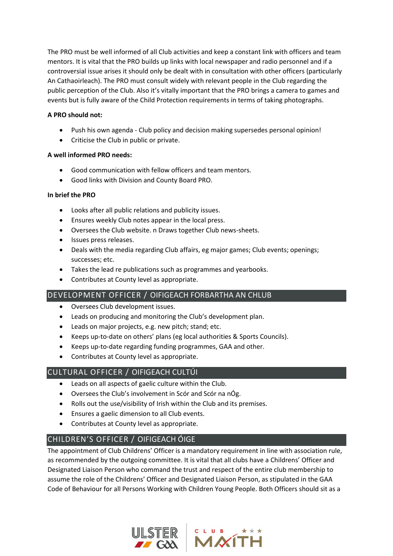The PRO must be well informed of all Club activities and keep a constant link with officers and team mentors. It is vital that the PRO builds up links with local newspaper and radio personnel and if a controversial issue arises it should only be dealt with in consultation with other officers (particularly An Cathaoirleach). The PRO must consult widely with relevant people in the Club regarding the public perception of the Club. Also it's vitally important that the PRO brings a camera to games and events but is fully aware of the Child Protection requirements in terms of taking photographs.

# **A PRO should not:**

- Push his own agenda Club policy and decision making supersedes personal opinion!
- Criticise the Club in public or private.

# **A well informed PRO needs:**

- Good communication with fellow officers and team mentors.
- Good links with Division and County Board PRO.

# **In brief the PRO**

- Looks after all public relations and publicity issues.
- Ensures weekly Club notes appear in the local press.
- Oversees the Club website. n Draws together Club news-sheets.
- Issues press releases.
- Deals with the media regarding Club affairs, eg major games; Club events; openings; successes; etc.
- Takes the lead re publications such as programmes and yearbooks.
- Contributes at County level as appropriate.

# DEVELOPMENT OFFICER / OIFIGEACH FORBARTHA AN CHLUB

- Oversees Club development issues.
- Leads on producing and monitoring the Club's development plan.
- Leads on major projects, e.g. new pitch; stand; etc.
- Keeps up-to-date on others' plans (eg local authorities & Sports Councils).
- Keeps up-to-date regarding funding programmes, GAA and other.
- Contributes at County level as appropriate.

# CULTURAL OFFICER / OIFIGEACH CULTÚI

- Leads on all aspects of gaelic culture within the Club.
- Oversees the Club's involvement in Scór and Scór na nÓg.
- Rolls out the use/visibility of Irish within the Club and its premises.
- Ensures a gaelic dimension to all Club events.
- Contributes at County level as appropriate.

# CHILDREN'S OFFICER / OIFIGEACH ÓIGE

The appointment of Club Childrens' Officer is a mandatory requirement in line with association rule, as recommended by the outgoing committee. It is vital that all clubs have a Childrens' Officer and Designated Liaison Person who command the trust and respect of the entire club membership to assume the role of the Childrens' Officer and Designated Liaison Person, as stipulated in the GAA Code of Behaviour for all Persons Working with Children Young People. Both Officers should sit as a



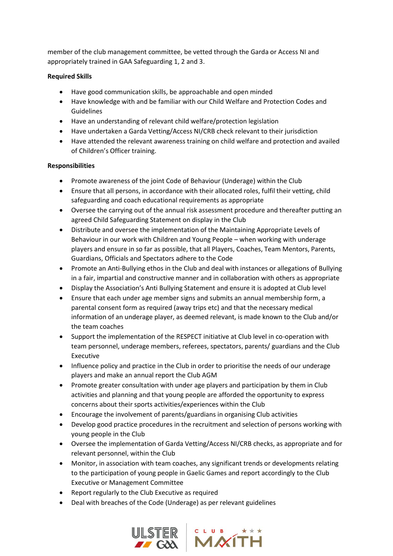member of the club management committee, be vetted through the Garda or Access NI and appropriately trained in GAA Safeguarding 1, 2 and 3.

# **Required Skills**

- Have good communication skills, be approachable and open minded
- Have knowledge with and be familiar with our Child Welfare and Protection Codes and Guidelines
- Have an understanding of relevant child welfare/protection legislation
- Have undertaken a Garda Vetting/Access NI/CRB check relevant to their jurisdiction
- Have attended the relevant awareness training on child welfare and protection and availed of Children's Officer training.

# **Responsibilities**

- Promote awareness of the joint Code of Behaviour (Underage) within the Club
- Ensure that all persons, in accordance with their allocated roles, fulfil their vetting, child safeguarding and coach educational requirements as appropriate
- Oversee the carrying out of the annual risk assessment procedure and thereafter putting an agreed Child Safeguarding Statement on display in the Club
- Distribute and oversee the implementation of the Maintaining Appropriate Levels of Behaviour in our work with Children and Young People – when working with underage players and ensure in so far as possible, that all Players, Coaches, Team Mentors, Parents, Guardians, Officials and Spectators adhere to the Code
- Promote an Anti-Bullying ethos in the Club and deal with instances or allegations of Bullying in a fair, impartial and constructive manner and in collaboration with others as appropriate
- Display the Association's Anti Bullying Statement and ensure it is adopted at Club level
- Ensure that each under age member signs and submits an annual membership form, a parental consent form as required (away trips etc) and that the necessary medical information of an underage player, as deemed relevant, is made known to the Club and/or the team coaches
- Support the implementation of the RESPECT initiative at Club level in co-operation with team personnel, underage members, referees, spectators, parents/ guardians and the Club Executive
- Influence policy and practice in the Club in order to prioritise the needs of our underage players and make an annual report the Club AGM
- Promote greater consultation with under age players and participation by them in Club activities and planning and that young people are afforded the opportunity to express concerns about their sports activities/experiences within the Club
- Encourage the involvement of parents/guardians in organising Club activities
- Develop good practice procedures in the recruitment and selection of persons working with young people in the Club
- Oversee the implementation of Garda Vetting/Access NI/CRB checks, as appropriate and for relevant personnel, within the Club
- Monitor, in association with team coaches, any significant trends or developments relating to the participation of young people in Gaelic Games and report accordingly to the Club Executive or Management Committee
- Report regularly to the Club Executive as required
- Deal with breaches of the Code (Underage) as per relevant guidelines



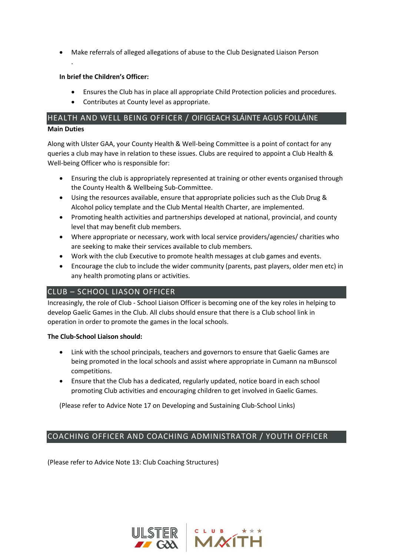• Make referrals of alleged allegations of abuse to the Club Designated Liaison Person

# **In brief the Children's Officer:**

.

- Ensures the Club has in place all appropriate Child Protection policies and procedures.
- Contributes at County level as appropriate.

# HEALTH AND WELL BEING OFFICER / OIFIGEACH SLÁINTE AGUS FOLLÁINE **Main Duties**

Along with Ulster GAA, your County Health & Well-being Committee is a point of contact for any queries a club may have in relation to these issues. Clubs are required to appoint a Club Health & Well-being Officer who is responsible for:

- Ensuring the club is appropriately represented at training or other events organised through the County Health & Wellbeing Sub-Committee.
- Using the resources available, ensure that appropriate policies such as the Club Drug & Alcohol policy template and the Club Mental Health Charter, are implemented.
- Promoting health activities and partnerships developed at national, provincial, and county level that may benefit club members.
- Where appropriate or necessary, work with local service providers/agencies/ charities who are seeking to make their services available to club members.
- Work with the club Executive to promote health messages at club games and events.
- Encourage the club to include the wider community (parents, past players, older men etc) in any health promoting plans or activities.

# CLUB – SCHOOL LIASON OFFICER

Increasingly, the role of Club - School Liaison Officer is becoming one of the key roles in helping to develop Gaelic Games in the Club. All clubs should ensure that there is a Club school link in operation in order to promote the games in the local schools.

# **The Club-School Liaison should:**

- Link with the school principals, teachers and governors to ensure that Gaelic Games are being promoted in the local schools and assist where appropriate in Cumann na mBunscol competitions.
- Ensure that the Club has a dedicated, regularly updated, notice board in each school promoting Club activities and encouraging children to get involved in Gaelic Games.

(Please refer to Advice Note 17 on Developing and Sustaining Club-School Links)

# COACHING OFFICER AND COACHING ADMINISTRATOR / YOUTH OFFICER

(Please refer to Advice Note 13: Club Coaching Structures)